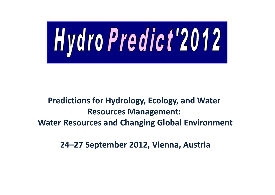

# Predictions for Hydrology, Ecology, and Water Resources Management: Water Resources and Changing Global Environment

24–27 September 2012, Vienna, Austria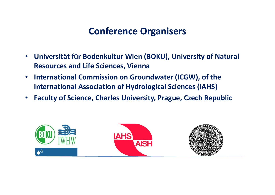### Conference Organisers

- • Universität für Bodenkultur Wien (BOKU), University of Natural Resources and Life Sciences, Vienna
- • International Commission on Groundwater (ICGW), of the International Association of Hydrological Sciences (IAHS)
- Faculty of Science, Charles University, Prague, Czech Republic

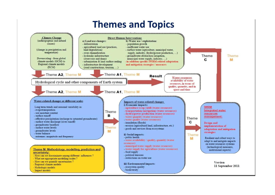#### Themes and Topics

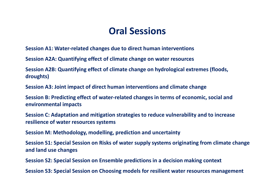#### Oral Sessions

Session A1: Water-related changes due to direct human interventions

Session A2A: Quantifying effect of climate change on water resources

Session A2B: Quantifying effect of climate change on hydrological extremes (floods, droughts)

Session A3: Joint impact of direct human interventions and climate change

Session B: Predicting effect of water-related changes in terms of economic, social and environmental impacts

Session C: Adaptation and mitigation strategies to reduce vulnerability and to increase resilience of water resources systems

Session M: Methodology, modelling, prediction and uncertainty

Session S1: Special Session on Risks of water supply systems originating from climate change and land use changes

Session S2: Special Session on Ensemble predictions in a decision making context

Session S3: Special Session on Choosing models for resilient water resources management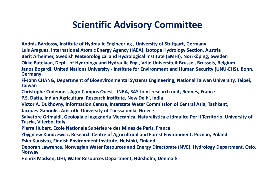### Scientific Advisory Committee

András Bárdossy, Institute of Hydraulic Engineering , University of Stuttgart, Germany Luis Araguas, International Atomic Energy Agency (IAEA), Isotope Hydrology Section, Austria Berit Arheimer, Swedish Meteorological and Hydrological Institute (SMHI), Norrköping, Sweden Okke Batelaan, Dept. of Hydrology and Hydraulic Eng., Vrije Universiteit Brussel, Brussels, Belgium Janos Bogardi, United Nations University - Institute for Environment and Human Security (UNU-EHS), Bonn, **Germany** 

Fi-John CHANG, Department of Bioenvironmental Systems Engineering, National Taiwan University, Taipei,Taiwan

Christophe Cudennec, Agro Campus Ouest - INRA, SAS Joint research unit, Rennes, France

P.S. Datta, Indian Agricultural Research Institute, New Delhi, India

Victor A. Dukhovny, Information Centre, Interstate Water Commission of Central Asia, Tashkent,

Jacques Ganoulis, Aristotle University of Thessaloniki, Greece

Salvatore Grimaldi, Geologia e Ingegneria Meccanica, Naturalistica e Idraulica Per Il Territorio, University of Tuscia, Viterbo, Italy

Pierre Hubert, Ecole Nationale Supérieure des Mines de Paris, France

Zbygniew Kundzewicz, Research Centre of Agricultural and Forest Environment, Poznań, Poland

Esko Kuusisto, Finnish Environment Institute, Helsinki, Finland

Deborah Lawrence, Norwegian Water Resources and Energy Directorate (NVE), Hydrology Department, Oslo, **Norway** 

Henrik Madsen, DHI, Water Resources Department, Hørsholm, Denmark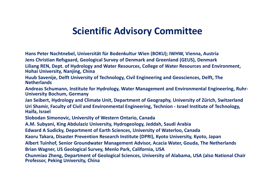### Scientific Advisory Committee

Hans Peter Nachtnebel, Universität für Bodenkultur Wien (BOKU); IWHW, Vienna, Austria Jens Christian Refsgaard, Geological Survey of Denmark and Greenland (GEUS), Denmark

Liliang REN, Dept. of Hydrology and Water Resources, College of Water Resources and Environment, Hohai University, Nanjing, China

Huub Savenije, Delft University of Technology, Civil Engineering and Geosciences, Delft, The **Netherlands** 

Andreas Schumann, Institute for Hydrology, Water Management and Environmental Engineering, Ruhr-University Bochum, Germany

Jan Seibert, Hydrology and Climate Unit, Department of Geography, University of Zürich, Switzerland Uri Shamir, Faculty of Civil and Environmental Engineering, Technion - Israel Institute of Technology, Haifa, Israel

Slobodan Simonovic, University of Western Ontario, Canada

A.M. Subyani, King Abdulaziz University, Hydrogeology, Jeddah, Saudi Arabia

Edward A Sudicky, Department of Earth Sciences, University of Waterloo, Canada

Kaoru Takara, Disaster Prevention Research Institute (DPRI), Kyoto University, Kyoto, Japan

Albert Tuinhof, Senior Groundwater Management Advisor, Acacia Water, Gouda, The Netherlands Brian Wagner, US Geological Survey, Menlo Park, California, USA

Chunmiao Zheng, Department of Geological Sciences, University of Alabama, USA (also National Chair Professor, Peking University, China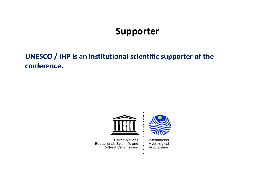# Supporter

#### UNESCO / IHP is an institutional scientific supporter of the conference.



**United Nations** Educational, Scientific and **Cultural Organization**  International Hydrological Programme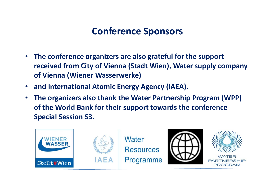# Conference Sponsors

- The conference organizers are also grateful for the support received from City of Vienna (Stadt Wien), Water supply company of Vienna (Wiener Wasserwerke)
- and International Atomic Energy Agency (IAEA).
- • The organizers also thank the Water Partnership Program (WPP) of the World Bank for their support towards the conference Special Session S3.